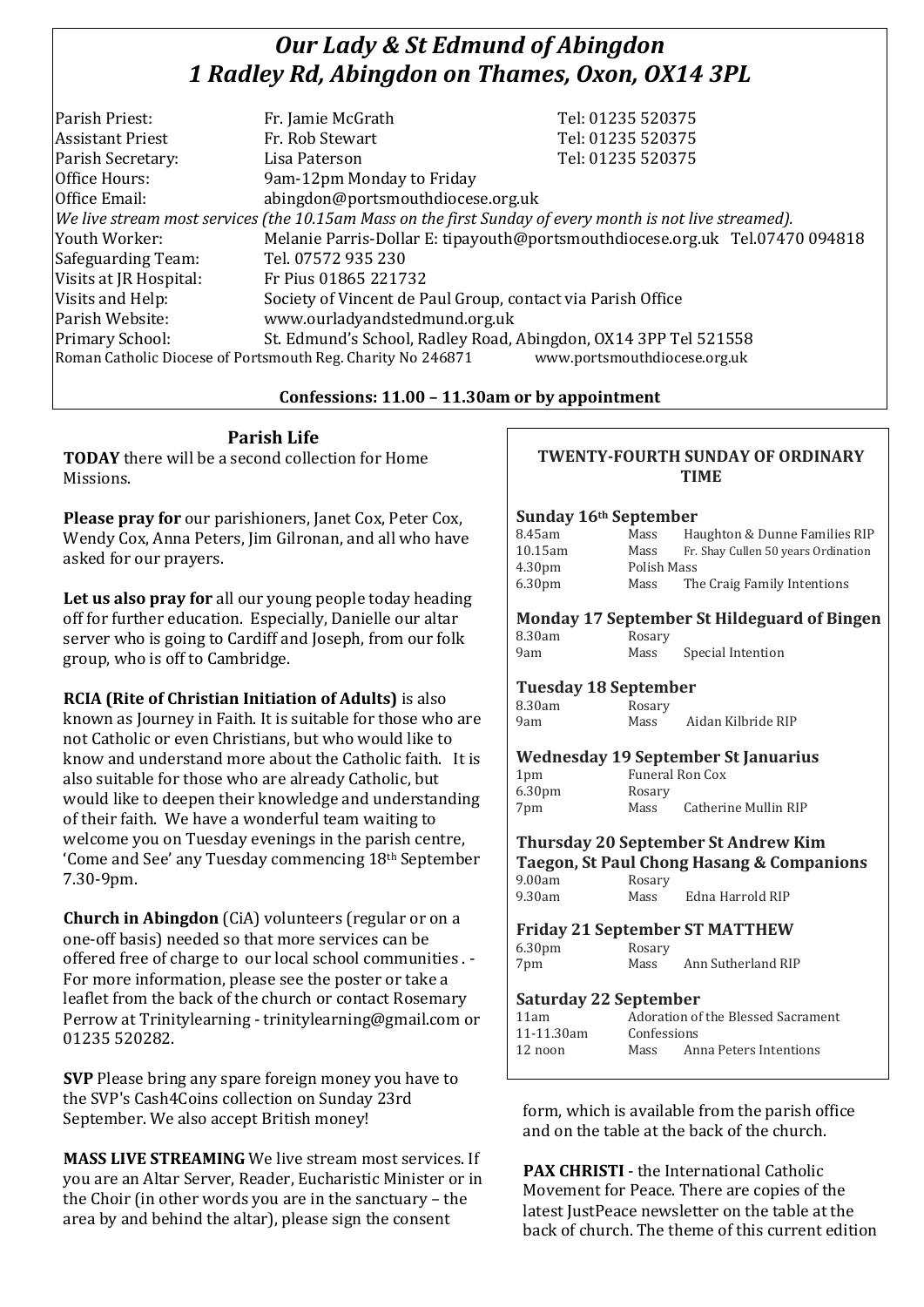# *Our Lady & St Edmund of Abingdon 1 Radley Rd, Abingdon on Thames, Oxon, OX14 3PL*

| We live stream most services (the 10.15am Mass on the first Sunday of every month is not live streamed). |
|----------------------------------------------------------------------------------------------------------|
| Melanie Parris-Dollar E: tipayouth@portsmouthdiocese.org.uk Tel.07470 094818                             |
|                                                                                                          |
|                                                                                                          |
|                                                                                                          |
|                                                                                                          |
| St. Edmund's School, Radley Road, Abingdon, OX14 3PP Tel 521558                                          |
| www.portsmouthdiocese.org.uk                                                                             |
|                                                                                                          |

### **Confessions: 11.00 – 11.30am or by appointment**

**Parish Life TODAY** there will be a second collection for Home Missions.

**Please pray for** our parishioners, Janet Cox, Peter Cox, Wendy Cox, Anna Peters, Jim Gilronan, and all who have asked for our prayers.

**Let us also pray for** all our young people today heading off for further education. Especially, Danielle our altar server who is going to Cardiff and Joseph, from our folk group, who is off to Cambridge.

**RCIA (Rite of Christian Initiation of Adults)** is also known as Journey in Faith. It is suitable for those who are not Catholic or even Christians, but who would like to know and understand more about the Catholic faith. It is also suitable for those who are already Catholic, but would like to deepen their knowledge and understanding of their faith. We have a wonderful team waiting to welcome you on Tuesday evenings in the parish centre, 'Come and See' any Tuesday commencing 18th September 7.30-9pm.

**Church in Abingdon** (CiA) volunteers (regular or on a one-off basis) needed so that more services can be offered free of charge to our local school communities . - For more information, please see the poster or take a leaflet from the back of the church or contact Rosemary Perrow at Trinitylearning - trinitylearning@gmail.com or 01235 520282.

**SVP** Please bring any spare foreign money you have to the SVP's Cash4Coins collection on Sunday 23rd September. We also accept British money!

**MASS LIVE STREAMING** We live stream most services. If you are an Altar Server, Reader, Eucharistic Minister or in the Choir (in other words you are in the sanctuary – the area by and behind the altar), please sign the consent

#### **TWENTY-FOURTH SUNDAY OF ORDINARY TIME**

#### **Sunday 16th September**

| 8.45am             | Mass        | Haughton & Dunne Families RIP       |
|--------------------|-------------|-------------------------------------|
| $10.15$ am         | Mass        | Fr. Shay Cullen 50 years Ordination |
| 4.30 <sub>pm</sub> | Polish Mass |                                     |
| 6.30 <sub>pm</sub> | Mass        | The Craig Family Intentions         |

#### **Monday 17 September St Hildeguard of Bingen** 8.30am Rosary

9am Mass Special Intention

#### **Tuesday 18 September**

8.30am Rosary 9am Mass Aidan Kilbride RIP

#### **Wednesday 19 September St Januarius**

| 1 <sub>pm</sub>    | Funeral Ron Cox |                      |  |  |
|--------------------|-----------------|----------------------|--|--|
| 6.30 <sub>pm</sub> | Rosary          |                      |  |  |
| 7pm                | Mass            | Catherine Mullin RIP |  |  |

#### **Thursday 20 September St Andrew Kim Taegon, St Paul Chong Hasang & Companions** 9.00am Rosary

| --------- | $\ldots$ |                  |
|-----------|----------|------------------|
| 9.30am    | Mass     | Edna Harrold RIP |
|           |          |                  |

### **Friday 21 September ST MATTHEW**

| 6.30 <sub>pm</sub> | Rosary |                    |
|--------------------|--------|--------------------|
| 7pm                | Mass   | Ann Sutherland RIP |

### **Saturday 22 September**

| 11am       |             | Adoration of the Blessed Sacrament |
|------------|-------------|------------------------------------|
| 11-11.30am | Confessions |                                    |
| $12$ noon  | Mass        | Anna Peters Intentions             |
|            |             |                                    |

form, which is available from the parish office and on the table at the back of the church.

**PAX CHRISTI** - the International Catholic Movement for Peace. There are copies of the latest JustPeace newsletter on the table at the back of church. The theme of this current edition